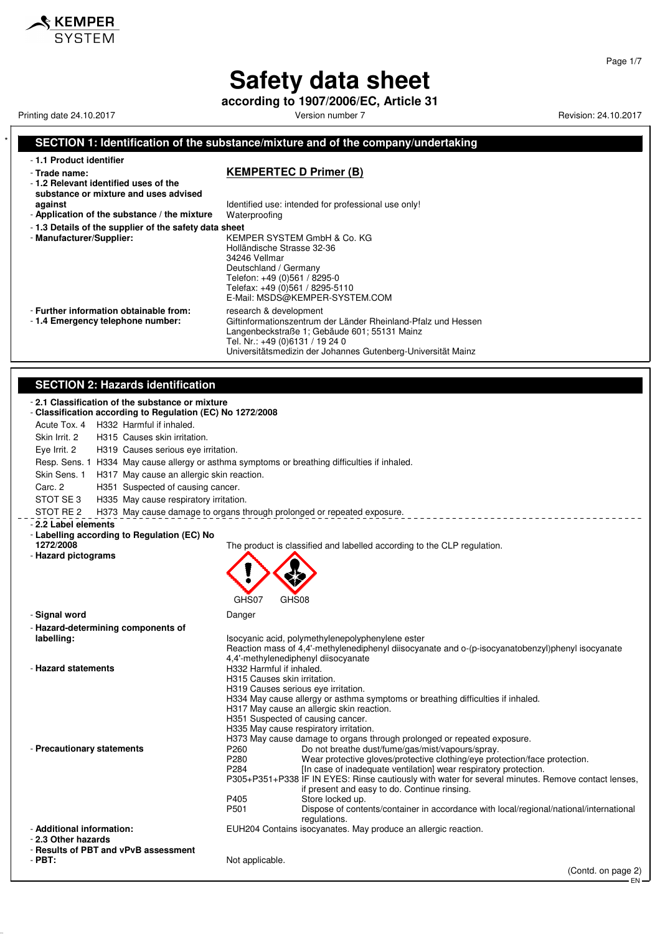**according to 1907/2006/EC, Article 31**

Printing date 24.10.2017 **Printing date 24.10.2017** Version number 7 **Revision: 24.10.2017** Revision: 24.10.2017

 $\boldsymbol{\mathsf{\$} }$  KEMPER

#### **SECTION 1: Identification of the substance/mixture and of the company/undertaking** - **1.1 Product identifier** - **Trade name: KEMPERTEC D Primer (B)** - **1.2 Relevant identified uses of the substance or mixture and uses advised against against Identified use: intended for professional use only!**<br>**Application of the substance / the mixture** Waterproofing - Application of the substance / the mixture - **1.3 Details of the supplier of the safety data sheet** - **Manufacturer/Supplier:** KEMPER SYSTEM GmbH & Co. KG Holländische Strasse 32-36 34246 Vellmar Deutschland / Germany Telefon: +49 (0)561 / 8295-0 Telefax: +49 (0)561 / 8295-5110 E-Mail: MSDS@KEMPER-SYSTEM.COM - **Further information obtainable from:** research & development<br>- 1.4 **Emergency telephone number:** Giftinformationszentrum Giftinformationszentrum der Länder Rheinland-Pfalz und Hessen Langenbeckstraße 1; Gebäude 601; 55131 Mainz Tel. Nr.: +49 (0)6131 / 19 24 0 Universitätsmedizin der Johannes Gutenberg-Universität Mainz **SECTION 2: Hazards identification** - **2.1 Classification of the substance or mixture** - **Classification according to Regulation (EC) No 1272/2008** Acute Tox. 4 H332 Harmful if inhaled. Skin Irrit. 2 H315 Causes skin irritation. Eye Irrit. 2 H319 Causes serious eye irritation. Resp. Sens. 1 H334 May cause allergy or asthma symptoms or breathing difficulties if inhaled. Skin Sens. 1 H317 May cause an allergic skin reaction. Carc. 2 H351 Suspected of causing cancer. STOT SE 3 H335 May cause respiratory irritation. STOT RE 2 H373 May cause damage to organs through prolonged or repeated exposure. - **2.2 Label elements** - **Labelling according to Regulation (EC) No 1272/2008** The product is classified and labelled according to the CLP regulation. - **Hazard pictograms** GHS07 GHS08 - **Signal word** Danger - **Hazard-determining components of labelling:** Isocyanic acid, polymethylenepolyphenylene ester Reaction mass of 4,4'-methylenediphenyl diisocyanate and o-(p-isocyanatobenzyl)phenyl isocyanate 4,4'-methylenediphenyl diisocyanate - **Hazard statements H332 Harmful if inhaled.** H315 Causes skin irritation. H319 Causes serious eye irritation. H334 May cause allergy or asthma symptoms or breathing difficulties if inhaled. H317 May cause an allergic skin reaction. H351 Suspected of causing cancer. H335 May cause respiratory irritation. H373 May cause damage to organs through prolonged or repeated exposure. Precautionary statements<br>P260 Do not breathe dust/fume/gas/mist/vapours/spray.<br>Wear protective dloves/protective clothing/eve pro P280 Wear protective gloves/protective clothing/eye protection/face protection.<br>P284 [In case of inadequate ventilation] wear respiratory protection. [In case of inadequate ventilation] wear respiratory protection. P305+P351+P338 IF IN EYES: Rinse cautiously with water for several minutes. Remove contact lenses, if present and easy to do. Continue rinsing. P<sub>405</sub> Store locked up.<br>P<sub>501</sub> Dispose of contra P501 Dispose of contents/container in accordance with local/regional/national/international regulations. - **Additional information:** EUH204 Contains isocyanates. May produce an allergic reaction. - **2.3 Other hazards** - **Results of PBT and vPvB assessment** Not applicable. (Contd. on page 2)

Page 1/7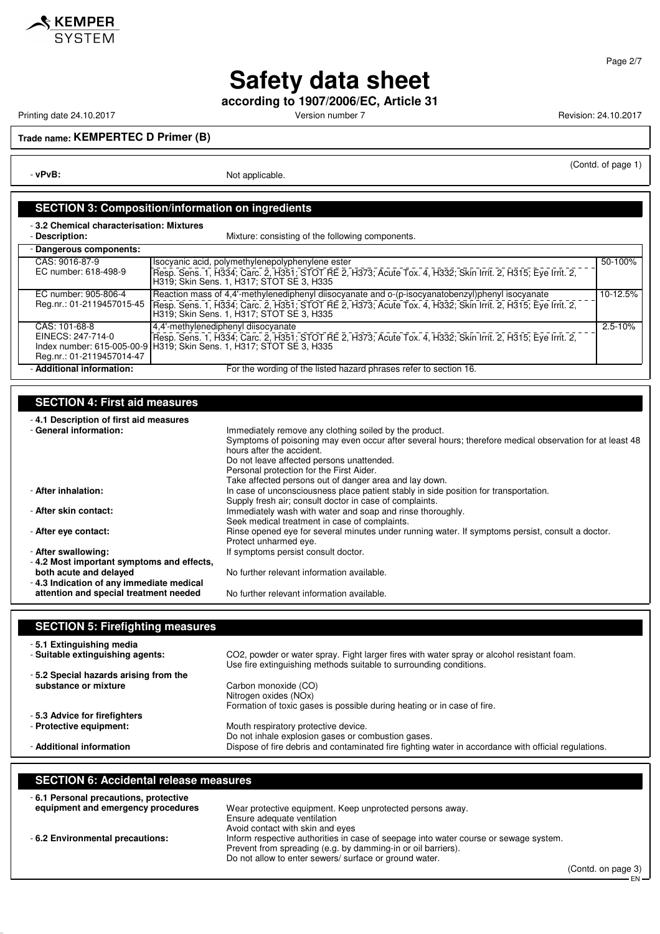

**according to 1907/2006/EC, Article 31**

Printing date 24.10.2017 **Printing date 24.10.2017** Version number 7 Revision: 24.10.2017

**KEMPER**<br>SYSTEM

**Trade name: KEMPERTEC D Primer (B)**

- **vPvB:** Not applicable.

#### (Contd. of page 1)

**SECTION 3: Composition/information on ingredients**

- **3.2 Chemical characterisation: Mixtures**

| Description: |
|--------------|
|              |

Mixture: consisting of the following components.

| - Dangerous components:   |                                                                                                                                                             |             |
|---------------------------|-------------------------------------------------------------------------------------------------------------------------------------------------------------|-------------|
| CAS: 9016-87-9            | Isocyanic acid, polymethylenepolyphenylene ester                                                                                                            | 50-100%     |
| EC number: 618-498-9      | Resp. Sens. 1, H334; Carc. 2, H351; STOT RE 2, H373; Acute Tox. 4, H332; Skin Irrit. 2, H315; Eye Irrit. 2,<br>H319; Skin Sens. 1, H317; STOT SE 3, H335    |             |
| EC number: 905-806-4      | Reaction mass of 4,4'-methylenediphenyl diisocyanate and o-(p-isocyanatobenzyl)phenyl isocyanate                                                            | 10-12.5%    |
| Reg.nr.: 01-2119457015-45 | Fresp. Sens. 1, H334; Carc. 2, H351; STOT RE 2, H373; Acute Tox. 4, H332; Skin Irrit. 2, H315; Eye Irrit. 2, 1<br>H319; Skin Sens. 1, H317; STOT SE 3, H335 |             |
| CAS: 101-68-8             | 4.4'-methylenediphenyl diisocyanate                                                                                                                         | $2.5 - 10%$ |
| EINECS: 247-714-0         | Resp. Sens. 1, H334; Carc. 2, H351; STOT RE 2, H373; Acute Tox. 4, H332; Skin Irrit. 2, H315; Eye Irrit. 2,                                                 |             |
|                           | Index number: 615-005-00-9 H319; Skin Sens. 1, H317; STOT SE 3, H335                                                                                        |             |
| Reg.nr.: 01-2119457014-47 |                                                                                                                                                             |             |
| - Additional information: | For the wording of the listed hazard phrases refer to section 16.                                                                                           |             |

### **SECTION 4: First aid measures**

| -4.1 Description of first aid measures    |                                                                                                         |
|-------------------------------------------|---------------------------------------------------------------------------------------------------------|
| - General information:                    | Immediately remove any clothing soiled by the product.                                                  |
|                                           | Symptoms of poisoning may even occur after several hours; therefore medical observation for at least 48 |
|                                           | hours after the accident.                                                                               |
|                                           | Do not leave affected persons unattended.                                                               |
|                                           | Personal protection for the First Aider.                                                                |
|                                           | Take affected persons out of danger area and lay down.                                                  |
| - After inhalation:                       | In case of unconsciousness place patient stably in side position for transportation.                    |
|                                           | Supply fresh air; consult doctor in case of complaints.                                                 |
| - After skin contact:                     | Immediately wash with water and soap and rinse thoroughly.                                              |
|                                           | Seek medical treatment in case of complaints.                                                           |
| - After eye contact:                      | Rinse opened eye for several minutes under running water. If symptoms persist, consult a doctor.        |
|                                           | Protect unharmed eye.                                                                                   |
| - After swallowing:                       | If symptoms persist consult doctor.                                                                     |
| -4.2 Most important symptoms and effects, |                                                                                                         |
| both acute and delayed                    | No further relevant information available.                                                              |
| -4.3 Indication of any immediate medical  |                                                                                                         |

**attention and special treatment needed** No further relevant information available.

| <b>SECTION 5: Firefighting measures</b>                      |                                                                                                      |
|--------------------------------------------------------------|------------------------------------------------------------------------------------------------------|
| -5.1 Extinguishing media<br>- Suitable extinguishing agents: | CO2, powder or water spray. Fight larger fires with water spray or alcohol resistant foam.           |
| -5.2 Special hazards arising from the                        | Use fire extinguishing methods suitable to surrounding conditions.                                   |
| substance or mixture                                         | Carbon monoxide (CO)<br>Nitrogen oxides (NOx)                                                        |
| -5.3 Advice for firefighters                                 | Formation of toxic gases is possible during heating or in case of fire.                              |
| - Protective equipment:                                      | Mouth respiratory protective device.<br>Do not inhale explosion gases or combustion gases.           |
| - Additional information                                     | Dispose of fire debris and contaminated fire fighting water in accordance with official regulations. |

### **SECTION 6: Accidental release measures**

| -6.1 Personal precautions, protective |                                                                                      |
|---------------------------------------|--------------------------------------------------------------------------------------|
| equipment and emergency procedures    | Wear protective equipment. Keep unprotected persons away.                            |
|                                       | Ensure adequate ventilation                                                          |
|                                       | Avoid contact with skin and eyes                                                     |
| -6.2 Environmental precautions:       | Inform respective authorities in case of seepage into water course or sewage system. |
|                                       | Prevent from spreading (e.g. by damming-in or oil barriers).                         |
|                                       | Do not allow to enter sewers/ surface or ground water.                               |

Page 2/7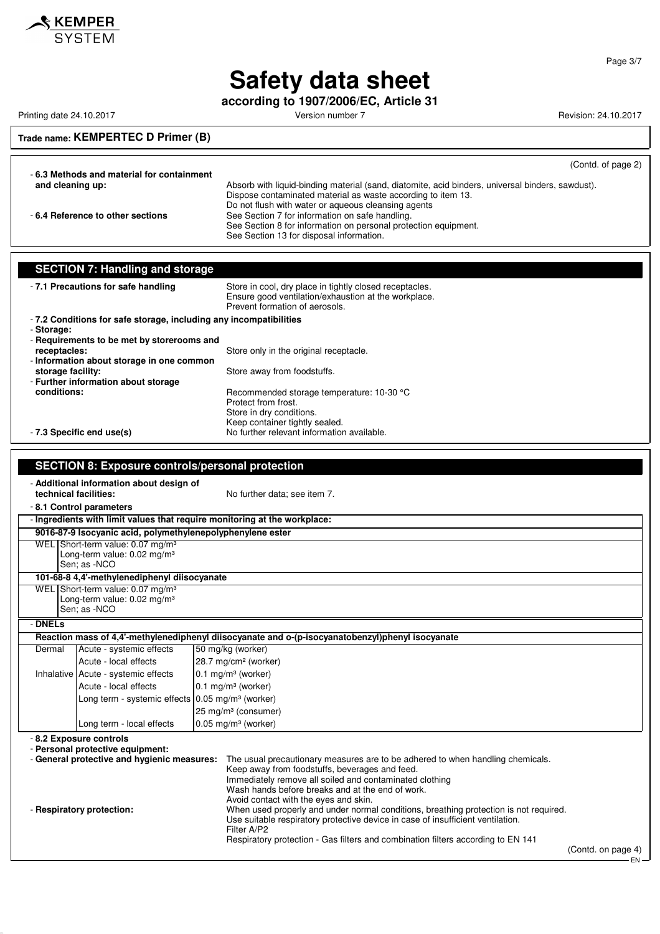

**according to 1907/2006/EC, Article 31**

Printing date 24.10.2017 **Printing date 24.10.2017** Version number 7 Revision: 24.10.2017

### **Trade name: KEMPERTEC D Primer (B)**

(Contd. of page 2)

| -6.3 Methods and material for containment |                                                                                                  |
|-------------------------------------------|--------------------------------------------------------------------------------------------------|
| and cleaning up:                          | Absorb with liquid-binding material (sand, diatomite, acid binders, universal binders, sawdust). |
|                                           | Dispose contaminated material as waste according to item 13.                                     |
|                                           | Do not flush with water or aqueous cleansing agents                                              |
| -6.4 Reference to other sections          | See Section 7 for information on safe handling.                                                  |
|                                           | See Section 8 for information on personal protection equipment.                                  |
|                                           | See Section 13 for disposal information.                                                         |

|                                                                                                                                                                                                                                                                                                | <b>SECTION 7: Handling and storage</b>                                                                    |                                                                                                                                                   |  |
|------------------------------------------------------------------------------------------------------------------------------------------------------------------------------------------------------------------------------------------------------------------------------------------------|-----------------------------------------------------------------------------------------------------------|---------------------------------------------------------------------------------------------------------------------------------------------------|--|
|                                                                                                                                                                                                                                                                                                | - 7.1 Precautions for safe handling                                                                       | Store in cool, dry place in tightly closed receptacles.<br>Ensure good ventilation/exhaustion at the workplace.<br>Prevent formation of aerosols. |  |
|                                                                                                                                                                                                                                                                                                | -7.2 Conditions for safe storage, including any incompatibilities                                         |                                                                                                                                                   |  |
| - Storage:                                                                                                                                                                                                                                                                                     |                                                                                                           |                                                                                                                                                   |  |
| receptacles:                                                                                                                                                                                                                                                                                   | - Requirements to be met by storerooms and                                                                | Store only in the original receptacle.                                                                                                            |  |
|                                                                                                                                                                                                                                                                                                | - Information about storage in one common                                                                 |                                                                                                                                                   |  |
| storage facility:                                                                                                                                                                                                                                                                              |                                                                                                           | Store away from foodstuffs.                                                                                                                       |  |
|                                                                                                                                                                                                                                                                                                | - Further information about storage                                                                       |                                                                                                                                                   |  |
| conditions:                                                                                                                                                                                                                                                                                    |                                                                                                           | Recommended storage temperature: 10-30 °C<br>Protect from frost.                                                                                  |  |
|                                                                                                                                                                                                                                                                                                |                                                                                                           | Store in dry conditions.                                                                                                                          |  |
|                                                                                                                                                                                                                                                                                                |                                                                                                           | Keep container tightly sealed.                                                                                                                    |  |
|                                                                                                                                                                                                                                                                                                | - 7.3 Specific end use(s)                                                                                 | No further relevant information available.                                                                                                        |  |
|                                                                                                                                                                                                                                                                                                |                                                                                                           |                                                                                                                                                   |  |
|                                                                                                                                                                                                                                                                                                | <b>SECTION 8: Exposure controls/personal protection</b>                                                   |                                                                                                                                                   |  |
|                                                                                                                                                                                                                                                                                                | - Additional information about design of                                                                  |                                                                                                                                                   |  |
| technical facilities:                                                                                                                                                                                                                                                                          |                                                                                                           | No further data; see item 7.                                                                                                                      |  |
|                                                                                                                                                                                                                                                                                                | - 8.1 Control parameters                                                                                  |                                                                                                                                                   |  |
|                                                                                                                                                                                                                                                                                                |                                                                                                           | - Ingredients with limit values that require monitoring at the workplace:                                                                         |  |
|                                                                                                                                                                                                                                                                                                | 9016-87-9 Isocyanic acid, polymethylenepolyphenylene ester                                                |                                                                                                                                                   |  |
|                                                                                                                                                                                                                                                                                                | WEL Short-term value: 0.07 mg/m <sup>3</sup><br>Long-term value: $0.02$ mg/m <sup>3</sup><br>Sen; as -NCO |                                                                                                                                                   |  |
|                                                                                                                                                                                                                                                                                                | 101-68-8 4,4'-methylenediphenyl diisocyanate                                                              |                                                                                                                                                   |  |
| WEL Short-term value: 0.07 mg/m <sup>3</sup><br>Long-term value: $0.02$ mg/m <sup>3</sup><br>Sen: as -NCO                                                                                                                                                                                      |                                                                                                           |                                                                                                                                                   |  |
| - DNELs                                                                                                                                                                                                                                                                                        |                                                                                                           |                                                                                                                                                   |  |
|                                                                                                                                                                                                                                                                                                |                                                                                                           | Reaction mass of 4,4'-methylenediphenyl diisocyanate and o-(p-isocyanatobenzyl)phenyl isocyanate                                                  |  |
| Dermal                                                                                                                                                                                                                                                                                         | Acute - systemic effects                                                                                  | 50 mg/kg (worker)                                                                                                                                 |  |
|                                                                                                                                                                                                                                                                                                | Acute - local effects                                                                                     | 28.7 mg/cm <sup>2</sup> (worker)                                                                                                                  |  |
|                                                                                                                                                                                                                                                                                                | Inhalative Acute - systemic effects                                                                       | $0.1$ mg/m <sup>3</sup> (worker)                                                                                                                  |  |
|                                                                                                                                                                                                                                                                                                | Acute - local effects                                                                                     | 0.1 mg/m <sup>3</sup> (worker)                                                                                                                    |  |
|                                                                                                                                                                                                                                                                                                | Long term - systemic effects 0.05 mg/m <sup>3</sup> (worker)                                              |                                                                                                                                                   |  |
|                                                                                                                                                                                                                                                                                                |                                                                                                           | 25 mg/m <sup>3</sup> (consumer)                                                                                                                   |  |
|                                                                                                                                                                                                                                                                                                | Long term - local effects                                                                                 | $0.05$ mg/m <sup>3</sup> (worker)                                                                                                                 |  |
|                                                                                                                                                                                                                                                                                                | - 8.2 Exposure controls<br>- Personal protective equipment:                                               |                                                                                                                                                   |  |
| - General protective and hygienic measures:<br>The usual precautionary measures are to be adhered to when handling chemicals.<br>Keep away from foodstuffs, beverages and feed.<br>Immediately remove all soiled and contaminated clothing<br>Wash hands before breaks and at the end of work. |                                                                                                           |                                                                                                                                                   |  |

- **Respiratory protection:** When used properly and under normal conditions, breathing protection is not required.

Use suitable respiratory protective device in case of insufficient ventilation. Filter A/P2

Avoid contact with the eyes and skin.

Respiratory protection - Gas filters and combination filters according to EN 141

(Contd. on page 4) EN

Page 3/7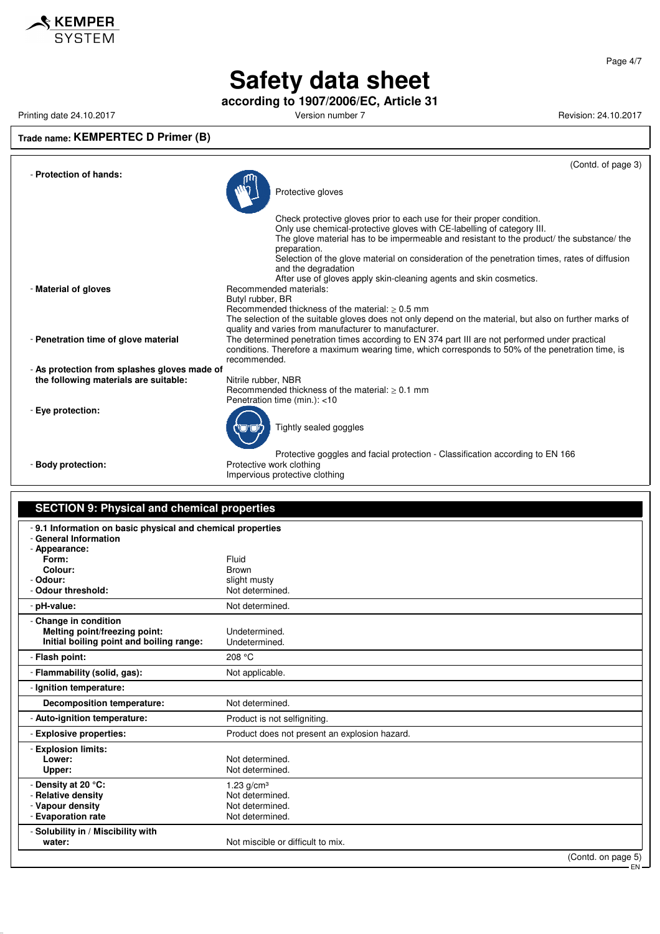

**according to 1907/2006/EC, Article 31**

Printing date 24.10.2017 **Printing date 24.10.2017** Version number 7 Revision: 24.10.2017

### **Trade name: KEMPERTEC D Primer (B)**

|                                              | (Contd. of page 3)                                                                                                                                                                                                                                                                                                                                                                   |
|----------------------------------------------|--------------------------------------------------------------------------------------------------------------------------------------------------------------------------------------------------------------------------------------------------------------------------------------------------------------------------------------------------------------------------------------|
| - Protection of hands:                       | Protective gloves                                                                                                                                                                                                                                                                                                                                                                    |
|                                              | Check protective gloves prior to each use for their proper condition.<br>Only use chemical-protective gloves with CE-labelling of category III.<br>The glove material has to be impermeable and resistant to the product/ the substance/ the<br>preparation.<br>Selection of the glove material on consideration of the penetration times, rates of diffusion<br>and the degradation |
| - Material of gloves                         | After use of gloves apply skin-cleaning agents and skin cosmetics.<br>Recommended materials:<br>Butyl rubber, BR<br>Recommended thickness of the material: $> 0.5$ mm<br>The selection of the suitable gloves does not only depend on the material, but also on further marks of                                                                                                     |
| - Penetration time of glove material         | quality and varies from manufacturer to manufacturer.<br>The determined penetration times according to EN 374 part III are not performed under practical<br>conditions. Therefore a maximum wearing time, which corresponds to 50% of the penetration time, is<br>recommended.                                                                                                       |
| - As protection from splashes gloves made of |                                                                                                                                                                                                                                                                                                                                                                                      |
| the following materials are suitable:        | Nitrile rubber, NBR<br>Recommended thickness of the material: $> 0.1$ mm<br>Penetration time (min.): <10                                                                                                                                                                                                                                                                             |
| - Eye protection:                            | Tightly sealed goggles                                                                                                                                                                                                                                                                                                                                                               |
| - Body protection:                           | Protective goggles and facial protection - Classification according to EN 166<br>Protective work clothing<br>Impervious protective clothing                                                                                                                                                                                                                                          |

#### **SECTION 9: Physical and chemical properties** - **9.1 Information on basic physical and chemical properties** - **General Information** - **Appearance:** Form: Fluid<br>**Colour:** Expansion of the Brown **Colour:**<br>Ddour: - **Odour:** slight musty

| - Odour threshold:                                                                                 | יויטוויו וועווט<br>Not determined.                                       |
|----------------------------------------------------------------------------------------------------|--------------------------------------------------------------------------|
| - pH-value:                                                                                        | Not determined.                                                          |
| - Change in condition<br>Melting point/freezing point:<br>Initial boiling point and boiling range: | Undetermined.<br>Undetermined.                                           |
| - Flash point:                                                                                     | 208 °C                                                                   |
| - Flammability (solid, gas):                                                                       | Not applicable.                                                          |
| - Ignition temperature:                                                                            |                                                                          |
| Decomposition temperature:                                                                         | Not determined.                                                          |
| - Auto-ignition temperature:                                                                       | Product is not selfigniting.                                             |
| - Explosive properties:                                                                            | Product does not present an explosion hazard.                            |
| - Explosion limits:<br>Lower:<br>Upper:                                                            | Not determined.<br>Not determined.                                       |
| - Density at 20 °C:<br>- Relative density<br>- Vapour density<br>- Evaporation rate                | 1.23 $g/cm^{3}$<br>Not determined.<br>Not determined.<br>Not determined. |
| - Solubility in / Miscibility with<br>water:                                                       | Not miscible or difficult to mix.<br>(Control on name 5)                 |

Page 4/7

(Contd. on page 5) EN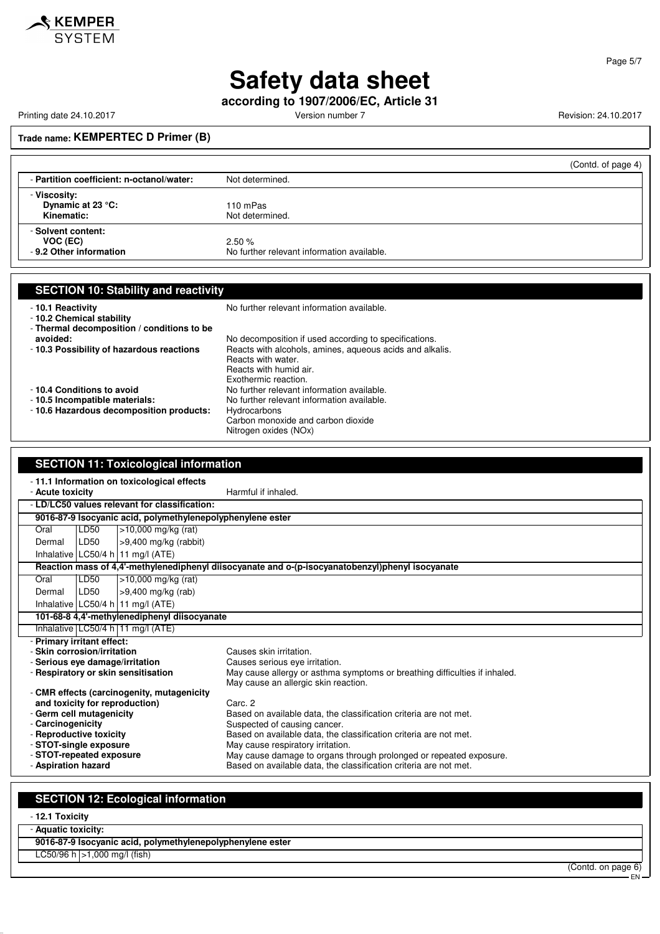

#### Page 5/7

EN

# **Safety data sheet**

**according to 1907/2006/EC, Article 31**

Printing date 24.10.2017 **Printing date 24.10.2017** Version number 7 Revision: 24.10.2017

**Trade name: KEMPERTEC D Primer (B)**

|                                                           | (Contd. of page 4)                                  |
|-----------------------------------------------------------|-----------------------------------------------------|
| - Partition coefficient: n-octanol/water:                 | Not determined.                                     |
| - Viscosity:<br>Dynamic at 23 °C:<br>Kinematic:           | 110 mPas<br>Not determined.                         |
| - Solvent content:<br>VOC (EC)<br>- 9.2 Other information | 2.50%<br>No further relevant information available. |

| <b>SECTION 10: Stability and reactivity</b>                                                            |                                                                                                                                                                                           |  |
|--------------------------------------------------------------------------------------------------------|-------------------------------------------------------------------------------------------------------------------------------------------------------------------------------------------|--|
| -10.1 Reactivity<br>-10.2 Chemical stability<br>- Thermal decomposition / conditions to be             | No further relevant information available.                                                                                                                                                |  |
| avoided:<br>-10.3 Possibility of hazardous reactions                                                   | No decomposition if used according to specifications.<br>Reacts with alcohols, amines, aqueous acids and alkalis.<br>Reacts with water.<br>Reacts with humid air.<br>Exothermic reaction. |  |
| -10.4 Conditions to avoid<br>-10.5 Incompatible materials:<br>- 10.6 Hazardous decomposition products: | No further relevant information available.<br>No further relevant information available.<br>Hydrocarbons<br>Carbon monoxide and carbon dioxide                                            |  |

Nitrogen oxides (NOx)

| <b>SECTION 11: Toxicological information</b>               |                                                            |                                                                                                  |
|------------------------------------------------------------|------------------------------------------------------------|--------------------------------------------------------------------------------------------------|
| -11.1 Information on toxicological effects                 |                                                            |                                                                                                  |
| - Acute toxicity                                           |                                                            | Harmful if inhaled.                                                                              |
| - LD/LC50 values relevant for classification:              |                                                            |                                                                                                  |
|                                                            | 9016-87-9 Isocyanic acid, polymethylenepolyphenylene ester |                                                                                                  |
| LD50<br>Oral                                               | $>10,000$ mg/kg (rat)                                      |                                                                                                  |
| LD50<br>Dermal                                             | $>9,400$ mg/kg (rabbit)                                    |                                                                                                  |
| Inhalative LC50/4 h 11 mg/l (ATE)                          |                                                            |                                                                                                  |
|                                                            |                                                            | Reaction mass of 4,4'-methylenediphenyl diisocyanate and o-(p-isocyanatobenzyl)phenyl isocyanate |
| LD50<br>Oral                                               | >10,000 mg/kg (rat)                                        |                                                                                                  |
| LD50<br>Dermal                                             | >9,400 mg/kg (rab)                                         |                                                                                                  |
| Inhalative LC50/4 h   11 mg/l (ATE)                        |                                                            |                                                                                                  |
|                                                            | 101-68-8 4,4'-methylenediphenyl diisocyanate               |                                                                                                  |
| Inhalative $LC50/4$ h 11 mg/l (ATE)                        |                                                            |                                                                                                  |
| - Primary irritant effect:                                 |                                                            |                                                                                                  |
| - Skin corrosion/irritation                                |                                                            | Causes skin irritation.                                                                          |
| - Serious eve damage/irritation                            |                                                            | Causes serious eye irritation.                                                                   |
| - Respiratory or skin sensitisation                        |                                                            | May cause allergy or asthma symptoms or breathing difficulties if inhaled.                       |
|                                                            |                                                            | May cause an allergic skin reaction.                                                             |
| - CMR effects (carcinogenity, mutagenicity                 |                                                            | Carc. 2                                                                                          |
| and toxicity for reproduction)<br>- Germ cell mutagenicity |                                                            | Based on available data, the classification criteria are not met.                                |
| - Carcinogenicity                                          |                                                            | Suspected of causing cancer.                                                                     |
| - Reproductive toxicity                                    |                                                            | Based on available data, the classification criteria are not met.                                |
| - STOT-single exposure                                     |                                                            | May cause respiratory irritation.                                                                |
| - STOT-repeated exposure                                   |                                                            | May cause damage to organs through prolonged or repeated exposure.                               |
| - Aspiration hazard                                        |                                                            | Based on available data, the classification criteria are not met.                                |
|                                                            |                                                            |                                                                                                  |

## **SECTION 12: Ecological information**

- **12.1 Toxicity**

| - Aquatic toxicity: |                                                            |                    |
|---------------------|------------------------------------------------------------|--------------------|
|                     | 9016-87-9 Isocyanic acid, polymethylenepolyphenylene ester |                    |
|                     | $LC50/96$ h $>1,000$ mg/l (fish)                           |                    |
|                     |                                                            | (Contd. on page 6) |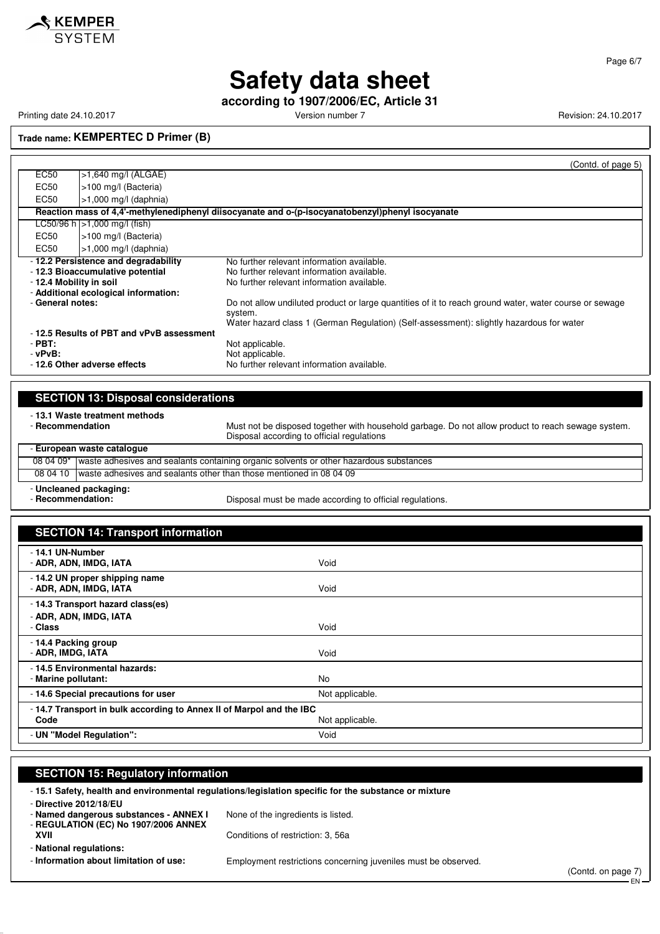

Printing date 24.10.2017 **Version number 7** Version number 7 Revision: 24.10.2017

**according to 1907/2006/EC, Article 31**

**Trade name: KEMPERTEC D Primer (B)**

|                                                                                   |                                          | (Contd. of page 5)                                                                                                |
|-----------------------------------------------------------------------------------|------------------------------------------|-------------------------------------------------------------------------------------------------------------------|
| EC50                                                                              | $>1,640$ mg/l (ALGAE)                    |                                                                                                                   |
| EC50                                                                              | >100 mg/l (Bacteria)                     |                                                                                                                   |
| EC50                                                                              | $>1,000$ mg/l (daphnia)                  |                                                                                                                   |
|                                                                                   |                                          | Reaction mass of 4,4'-methylenediphenyl diisocyanate and o-(p-isocyanatobenzyl)phenyl isocyanate                  |
|                                                                                   | LC50/96 h $ >1,000$ mg/l (fish)          |                                                                                                                   |
| EC50                                                                              | -100 mg/l (Bacteria)                     |                                                                                                                   |
| EC50                                                                              | $>1,000$ mg/l (daphnia)                  |                                                                                                                   |
| -12.2 Persistence and degradability<br>No further relevant information available. |                                          |                                                                                                                   |
| - 12.3 Bioaccumulative potential                                                  |                                          | No further relevant information available.                                                                        |
| - 12.4 Mobility in soil                                                           |                                          | No further relevant information available.                                                                        |
| - Additional ecological information:                                              |                                          |                                                                                                                   |
| - General notes:                                                                  |                                          | Do not allow undiluted product or large quantities of it to reach ground water, water course or sewage<br>system. |
|                                                                                   |                                          | Water hazard class 1 (German Regulation) (Self-assessment): slightly hazardous for water                          |
|                                                                                   | -12.5 Results of PBT and vPvB assessment |                                                                                                                   |
| $-PBT:$                                                                           |                                          | Not applicable.                                                                                                   |
| - vPvB:                                                                           |                                          | Not applicable.                                                                                                   |
| -12.6 Other adverse effects                                                       |                                          | No further relevant information available.                                                                        |

| <b>SECTION 13: Disposal considerations</b> |                                                                                                  |                                                                                                                                                  |  |  |
|--------------------------------------------|--------------------------------------------------------------------------------------------------|--------------------------------------------------------------------------------------------------------------------------------------------------|--|--|
| - 13.1 Waste treatment methods             |                                                                                                  |                                                                                                                                                  |  |  |
| - Recommendation                           |                                                                                                  | Must not be disposed together with household garbage. Do not allow product to reach sewage system.<br>Disposal according to official regulations |  |  |
| - European waste catalogue                 |                                                                                                  |                                                                                                                                                  |  |  |
|                                            | 08 04 09* waste adhesives and sealants containing organic solvents or other hazardous substances |                                                                                                                                                  |  |  |
| 08 04 10                                   | waste adhesives and sealants other than those mentioned in 08 04 09                              |                                                                                                                                                  |  |  |

- **Uncleaned packaging:**

Disposal must be made according to official regulations.

| <b>SECTION 14: Transport information</b>                                    |                 |  |
|-----------------------------------------------------------------------------|-----------------|--|
| - 14.1 UN-Number<br>- ADR, ADN, IMDG, IATA                                  | Void            |  |
| - 14.2 UN proper shipping name<br>- ADR, ADN, IMDG, IATA                    | Void            |  |
| - 14.3 Transport hazard class(es)<br>- ADR, ADN, IMDG, IATA<br>- Class      | Void            |  |
| - 14.4 Packing group<br>- ADR, IMDG, IATA                                   | Void            |  |
| - 14.5 Environmental hazards:<br>- Marine pollutant:                        | No              |  |
| - 14.6 Special precautions for user                                         | Not applicable. |  |
| -14.7 Transport in bulk according to Annex II of Marpol and the IBC<br>Code | Not applicable. |  |
| - UN "Model Regulation":                                                    | Void            |  |

#### **SECTION 15: Regulatory information**

- **15.1 Safety, health and environmental regulations/legislation specific for the substance or mixture**

- **Directive 2012/18/EU**

- **Named dangerous substances - ANNEX I** None of the ingredients is listed.

- **REGULATION (EC) No 1907/2006 ANNEX XVII** Conditions of restriction: 3, 56a

- **National regulations:**

- **Information about limitation of use:** Employment restrictions concerning juveniles must be observed.